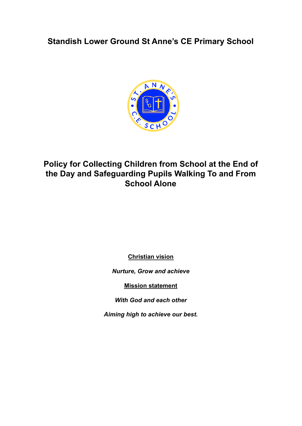**Standish Lower Ground St Anne's CE Primary School**



# **Policy for Collecting Children from School at the End of the Day and Safeguarding Pupils Walking To and From School Alone**

**Christian vision**

*Nurture, Grow and achieve*

**Mission statement**

*With God and each other*

*Aiming high to achieve our best.*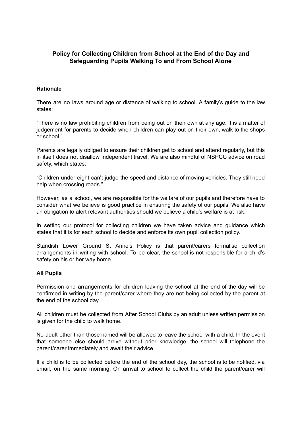### **Policy for Collecting Children from School at the End of the Day and Safeguarding Pupils Walking To and From School Alone**

#### **Rationale**

There are no laws around age or distance of walking to school. A family's guide to the law states:

"There is no law prohibiting children from being out on their own at any age. It is a matter of judgement for parents to decide when children can play out on their own, walk to the shops or school."

Parents are legally obliged to ensure their children get to school and attend regularly, but this in itself does not disallow independent travel. We are also mindful of NSPCC advice on road safety, which states:

"Children under eight can't judge the speed and distance of moving vehicles. They still need help when crossing roads."

However, as a school, we are responsible for the welfare of our pupils and therefore have to consider what we believe is good practice in ensuring the safety of our pupils. We also have an obligation to alert relevant authorities should we believe a child's welfare is at risk.

In setting our protocol for collecting children we have taken advice and guidance which states that it is for each school to decide and enforce its own pupil collection policy.

Standish Lower Ground St Anne's Policy is that parent/carers formalise collection arrangements in writing with school. To be clear, the school is not responsible for a child's safety on his or her way home.

#### **All Pupils**

Permission and arrangements for children leaving the school at the end of the day will be confirmed in writing by the parent/carer where they are not being collected by the parent at the end of the school day.

All children must be collected from After School Clubs by an adult unless written permission is given for the child to walk home.

No adult other than those named will be allowed to leave the school with a child. In the event that someone else should arrive without prior knowledge, the school will telephone the parent/carer immediately and await their advice.

If a child is to be collected before the end of the school day, the school is to be notified, via email, on the same morning. On arrival to school to collect the child the parent/carer will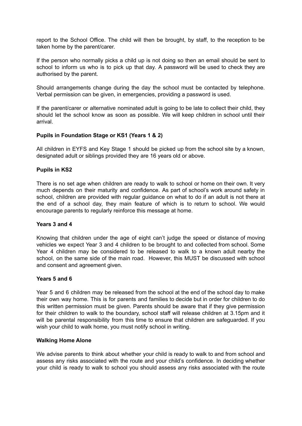report to the School Office. The child will then be brought, by staff, to the reception to be taken home by the parent/carer.

If the person who normally picks a child up is not doing so then an email should be sent to school to inform us who is to pick up that day. A password will be used to check they are authorised by the parent.

Should arrangements change during the day the school must be contacted by telephone. Verbal permission can be given, in emergencies, providing a password is used.

If the parent/carer or alternative nominated adult is going to be late to collect their child, they should let the school know as soon as possible. We will keep children in school until their arrival.

#### **Pupils in Foundation Stage or KS1 (Years 1 & 2)**

All children in EYFS and Key Stage 1 should be picked up from the school site by a known, designated adult or siblings provided they are 16 years old or above.

#### **Pupils in KS2**

There is no set age when children are ready to walk to school or home on their own. It very much depends on their maturity and confidence. As part of school's work around safety in school, children are provided with regular guidance on what to do if an adult is not there at the end of a school day, they main feature of which is to return to school. We would encourage parents to regularly reinforce this message at home.

#### **Years 3 and 4**

Knowing that children under the age of eight can't judge the speed or distance of moving vehicles we expect Year 3 and 4 children to be brought to and collected from school. Some Year 4 children may be considered to be released to walk to a known adult nearby the school, on the same side of the main road. However, this MUST be discussed with school and consent and agreement given.

#### **Years 5 and 6**

Year 5 and 6 children may be released from the school at the end of the school day to make their own way home. This is for parents and families to decide but in order for children to do this written permission must be given. Parents should be aware that if they give permission for their children to walk to the boundary, school staff will release children at 3.15pm and it will be parental responsibility from this time to ensure that children are safeguarded. If you wish your child to walk home, you must notify school in writing.

#### **Walking Home Alone**

We advise parents to think about whether your child is ready to walk to and from school and assess any risks associated with the route and your child's confidence. In deciding whether your child is ready to walk to school you should assess any risks associated with the route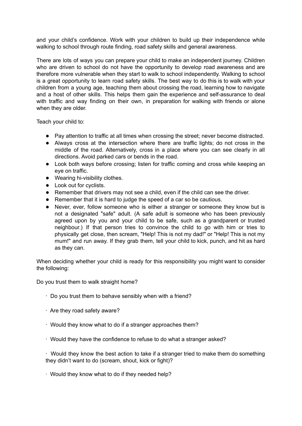and your child's confidence. Work with your children to build up their independence while walking to school through route finding, road safety skills and general awareness.

There are lots of ways you can prepare your child to make an independent journey. Children who are driven to school do not have the opportunity to develop road awareness and are therefore more vulnerable when they start to walk to school independently. Walking to school is a great opportunity to learn road safety skills. The best way to do this is to walk with your children from a young age, teaching them about crossing the road, learning how to navigate and a host of other skills. This helps them gain the experience and self-assurance to deal with traffic and way finding on their own, in preparation for walking with friends or alone when they are older.

Teach your child to:

- Pay attention to traffic at all times when crossing the street; never become distracted.
- Always cross at the intersection where there are traffic lights; do not cross in the middle of the road. Alternatively, cross in a place where you can see clearly in all directions. Avoid parked cars or bends in the road.
- Look both ways before crossing; listen for traffic coming and cross while keeping an eye on traffic.
- Wearing hi-visibility clothes.
- Look out for cyclists.
- Remember that drivers may not see a child, even if the child can see the driver.
- Remember that it is hard to judge the speed of a car so be cautious.
- Never, ever, follow someone who is either a stranger or someone they know but is not a designated "safe" adult. (A safe adult is someone who has been previously agreed upon by you and your child to be safe, such as a grandparent or trusted neighbour.) If that person tries to convince the child to go with him or tries to physically get close, then scream, "Help! This is not my dad!" or "Help! This is not my mum!" and run away. If they grab them, tell your child to kick, punch, and hit as hard as they can.

When deciding whether your child is ready for this responsibility you might want to consider the following:

Do you trust them to walk straight home?

- ∙ Do you trust them to behave sensibly when with a friend?
- ∙ Are they road safety aware?
- ∙ Would they know what to do if a stranger approaches them?
- ∙ Would they have the confidence to refuse to do what a stranger asked?

∙ Would they know the best action to take if a stranger tried to make them do something they didn't want to do (scream, shout, kick or fight)?

∙ Would they know what to do if they needed help?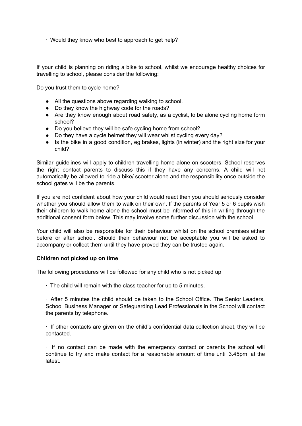∙ Would they know who best to approach to get help?

If your child is planning on riding a bike to school, whilst we encourage healthy choices for travelling to school, please consider the following:

Do you trust them to cycle home?

- All the questions above regarding walking to school.
- Do they know the highway code for the roads?
- Are they know enough about road safety, as a cyclist, to be alone cycling home form school?
- Do you believe they will be safe cycling home from school?
- Do they have a cycle helmet they will wear whilst cycling every day?
- Is the bike in a good condition, eg brakes, lights (in winter) and the right size for your child?

Similar guidelines will apply to children travelling home alone on scooters. School reserves the right contact parents to discuss this if they have any concerns. A child will not automatically be allowed to ride a bike/ scooter alone and the responsibility once outside the school gates will be the parents.

If you are not confident about how your child would react then you should seriously consider whether you should allow them to walk on their own. If the parents of Year 5 or 6 pupils wish their children to walk home alone the school must be informed of this in writing through the additional consent form below. This may involve some further discussion with the school.

Your child will also be responsible for their behaviour whilst on the school premises either before or after school. Should their behaviour not be acceptable you will be asked to accompany or collect them until they have proved they can be trusted again.

#### **Children not picked up on time**

The following procedures will be followed for any child who is not picked up

∙ The child will remain with the class teacher for up to 5 minutes.

∙ After 5 minutes the child should be taken to the School Office. The Senior Leaders, School Business Manager or Safeguarding Lead Professionals in the School will contact the parents by telephone.

∙ If other contacts are given on the child's confidential data collection sheet, they will be contacted.

∙ If no contact can be made with the emergency contact or parents the school will continue to try and make contact for a reasonable amount of time until 3.45pm, at the latest.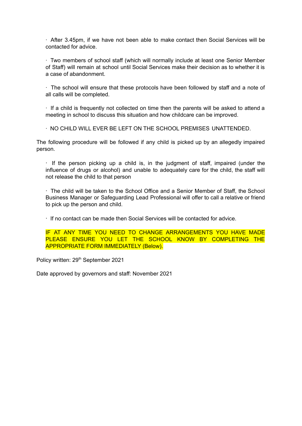∙ After 3.45pm, if we have not been able to make contact then Social Services will be contacted for advice.

∙ Two members of school staff (which will normally include at least one Senior Member of Staff) will remain at school until Social Services make their decision as to whether it is a case of abandonment.

∙ The school will ensure that these protocols have been followed by staff and a note of all calls will be completed.

∙ If a child is frequently not collected on time then the parents will be asked to attend a meeting in school to discuss this situation and how childcare can be improved.

∙ NO CHILD WILL EVER BE LEFT ON THE SCHOOL PREMISES UNATTENDED.

The following procedure will be followed if any child is picked up by an allegedly impaired person.

∙ If the person picking up a child is, in the judgment of staff, impaired (under the influence of drugs or alcohol) and unable to adequately care for the child, the staff will not release the child to that person

∙ The child will be taken to the School Office and a Senior Member of Staff, the School Business Manager or Safeguarding Lead Professional will offer to call a relative or friend to pick up the person and child.

∙ If no contact can be made then Social Services will be contacted for advice.

IF AT ANY TIME YOU NEED TO CHANGE ARRANGEMENTS YOU HAVE MADE PLEASE ENSURE YOU LET THE SCHOOL KNOW BY COMPLETING THE APPROPRIATE FORM IMMEDIATELY (Below).

Policy written: 29<sup>th</sup> September 2021

Date approved by governors and staff: November 2021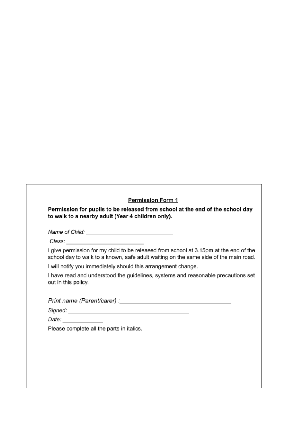### **Permission Form 1**

Permission for pupils to be released from school at the end of the school day to walk to a nearby adult (Year 4 children only).

Class: Class Contract Contract of the Class Contract of the Contract of the Contract of the Contract of the Contract of the Contract of the Contract of the Contract of the Contract of the Contract of the Contract of the Co

I give permission for my child to be released from school at 3.15pm at the end of the school day to walk to a known, safe adult waiting on the same side of the main road.

I will notify you immediately should this arrangement change.

I have read and understood the guidelines, systems and reasonable precautions set out in this policy.

Signed: National Communication of the Communication of the Communication of the Communication of the Communication of the Communication of the Communication of the Communication of the Communication of the Communication of

Date: \_\_\_\_\_\_\_\_\_\_\_\_

Please complete all the parts in italics.